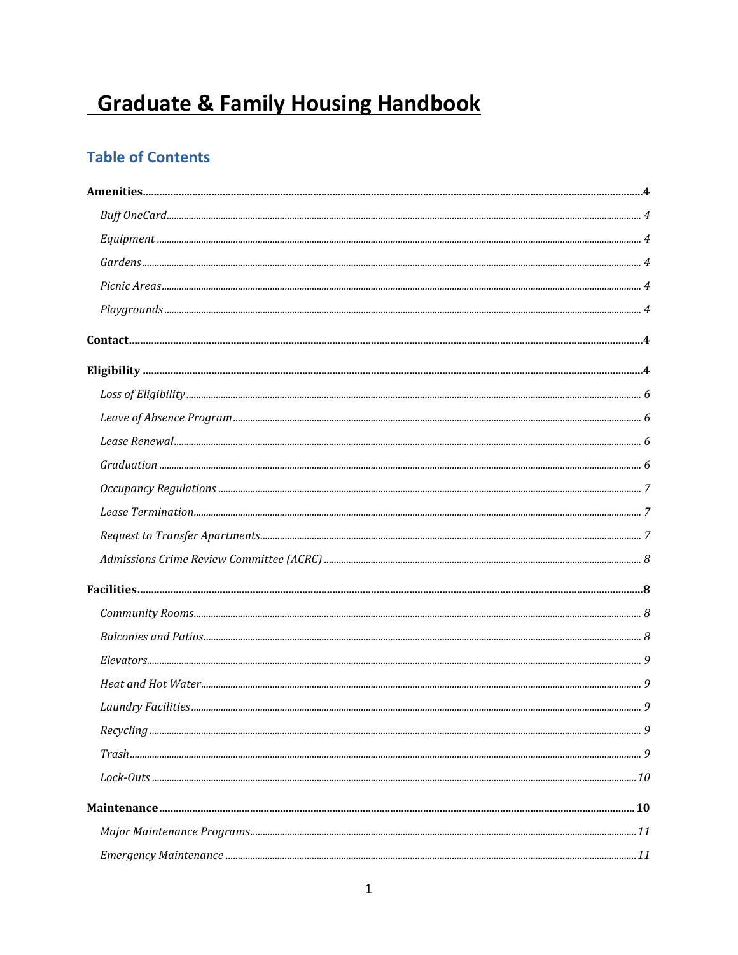# **Graduate & Family Housing Handbook**

# **Table of Contents**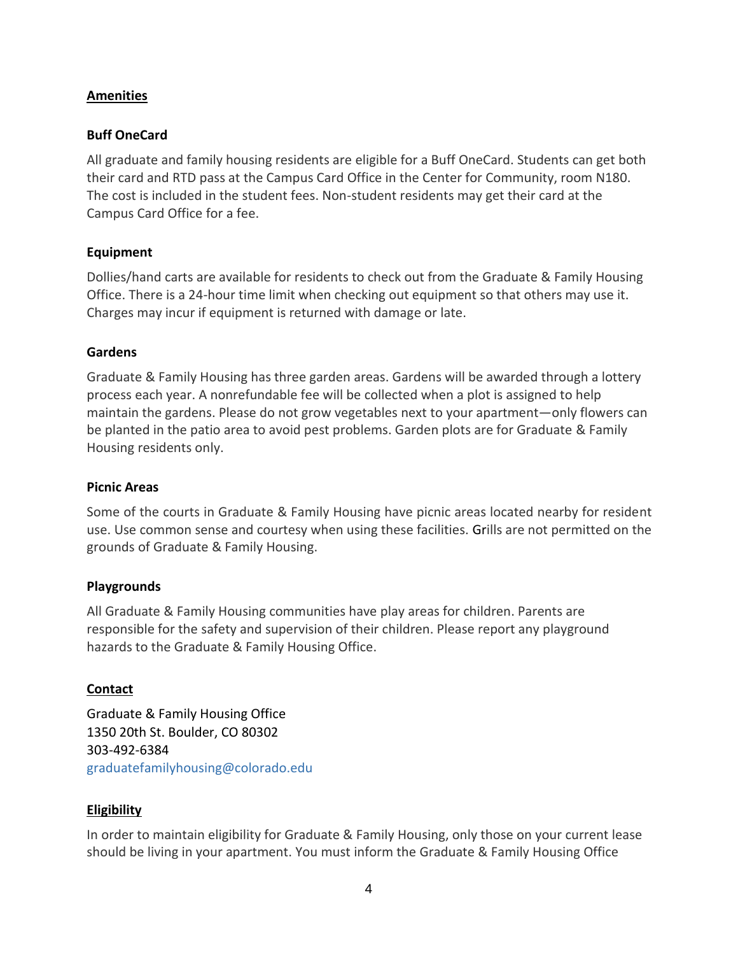#### <span id="page-3-0"></span>**Amenities**

#### <span id="page-3-1"></span>**Buff OneCard**

All graduate and family housing residents are eligible for a Buff OneCard. Students can get both their card and RTD pass at the Campus Card Office in the Center for Community, room N180. The cost is included in the student fees. Non-student residents may get their card at the Campus Card Office for a fee.

#### <span id="page-3-2"></span>**Equipment**

Dollies/hand carts are available for residents to check out from the Graduate & Family Housing Office. There is a 24-hour time limit when checking out equipment so that others may use it. Charges may incur if equipment is returned with damage or late.

#### <span id="page-3-3"></span>**Gardens**

Graduate & Family Housing has three garden areas. Gardens will be awarded through a lottery process each year. A nonrefundable fee will be collected when a plot is assigned to help maintain the gardens. Please do not grow vegetables next to your apartment—only flowers can be planted in the patio area to avoid pest problems. Garden plots are for Graduate & Family Housing residents only.

#### <span id="page-3-4"></span>**Picnic Areas**

Some of the courts in Graduate & Family Housing have picnic areas located nearby for resident use. Use common sense and courtesy when using these facilities. Grills are not permitted on the grounds of Graduate & Family Housing.

#### <span id="page-3-5"></span>**Playgrounds**

All Graduate & Family Housing communities have play areas for children. Parents are responsible for the safety and supervision of their children. Please report any playground hazards to the Graduate & Family Housing Office.

#### <span id="page-3-6"></span>**Contact**

Graduate & Family Housing Office 1350 20th St. Boulder, CO 80302 303-492-6384 graduatefamilyhousing@colorado.edu

#### <span id="page-3-7"></span>**Eligibility**

In order to maintain eligibility for Graduate & Family Housing, only those on your current lease should be living in your apartment. You must inform the Graduate & Family Housing Office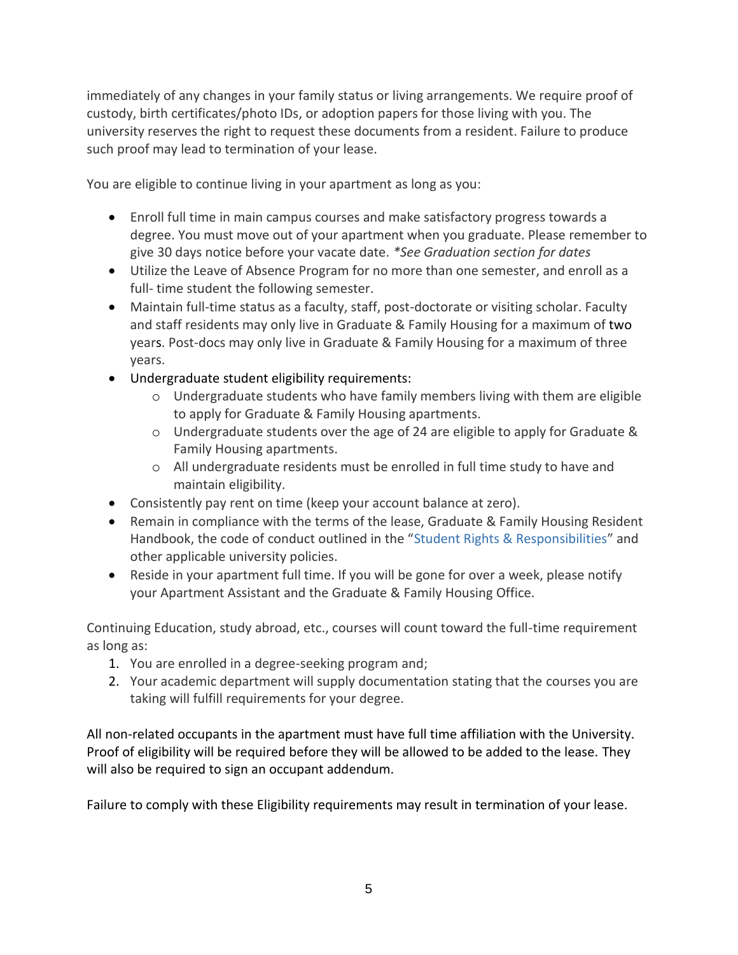immediately of any changes in your family status or living arrangements. We require proof of custody, birth certificates/photo IDs, or adoption papers for those living with you. The university reserves the right to request these documents from a resident. Failure to produce such proof may lead to termination of your lease.

You are eligible to continue living in your apartment as long as you:

- Enroll full time in main campus courses and make satisfactory progress towards a degree. You must move out of your apartment when you graduate. Please remember to give 30 days notice before your vacate date. *\*See Graduation section for dates*
- Utilize the Leave of Absence Program for no more than one semester, and enroll as a full- time student the following semester.
- Maintain full-time status as a faculty, staff, post-doctorate or visiting scholar. Faculty and staff residents may only live in Graduate & Family Housing for a maximum of two years. Post-docs may only live in Graduate & Family Housing for a maximum of three years.
- Undergraduate student eligibility requirements:
	- o Undergraduate students who have family members living with them are eligible to apply for Graduate & Family Housing apartments.
	- o Undergraduate students over the age of 24 are eligible to apply for Graduate & Family Housing apartments.
	- o All undergraduate residents must be enrolled in full time study to have and maintain eligibility.
- Consistently pay rent on time (keep your account balance at zero).
- Remain in compliance with the terms of the lease, Graduate & Family Housing Resident Handbook, the code of conduct outlined in the "[Student Rights & Responsibilities](http://www.colorado.edu/uggs/sites/default/files/attached-files/Graduate%20Student%20Bill%20of%20Rights%20and%20Responsibilities.pdf)" and other applicable university policies.
- Reside in your apartment full time. If you will be gone for over a week, please notify your Apartment Assistant and the Graduate & Family Housing Office.

Continuing Education, study abroad, etc., courses will count toward the full-time requirement as long as:

- 1. You are enrolled in a degree-seeking program and;
- 2. Your academic department will supply documentation stating that the courses you are taking will fulfill requirements for your degree.

All non-related occupants in the apartment must have full time affiliation with the University. Proof of eligibility will be required before they will be allowed to be added to the lease. They will also be required to sign an occupant addendum.

Failure to comply with these Eligibility requirements may result in termination of your lease.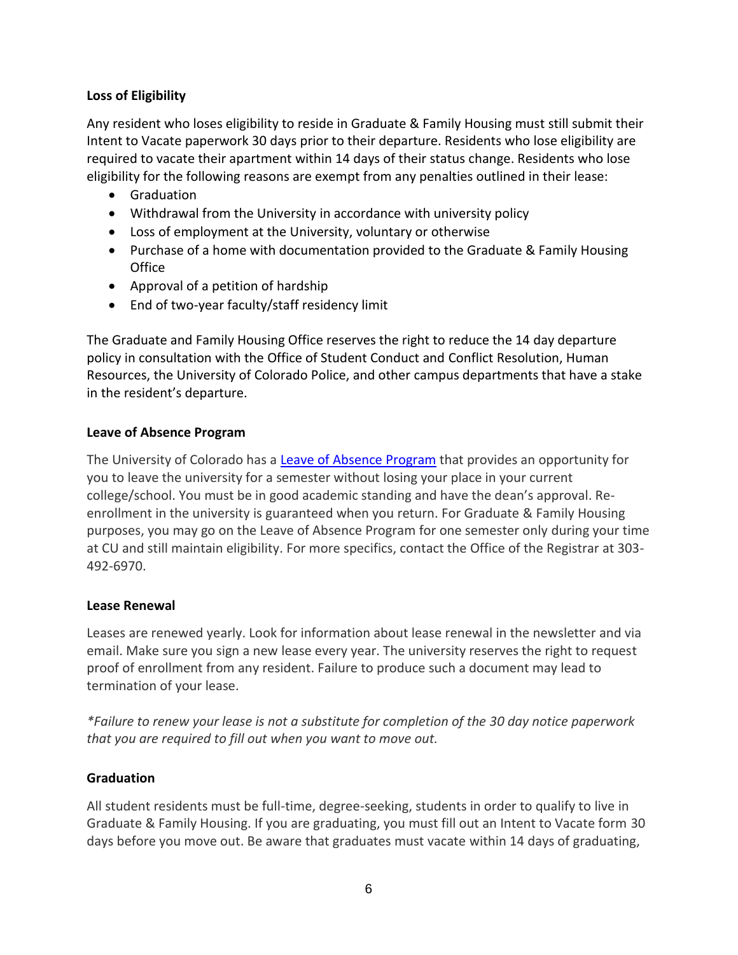# <span id="page-5-0"></span>**Loss of Eligibility**

Any resident who loses eligibility to reside in Graduate & Family Housing must still submit their Intent to Vacate paperwork 30 days prior to their departure. Residents who lose eligibility are required to vacate their apartment within 14 days of their status change. Residents who lose eligibility for the following reasons are exempt from any penalties outlined in their lease:

- Graduation
- Withdrawal from the University in accordance with university policy
- Loss of employment at the University, voluntary or otherwise
- Purchase of a home with documentation provided to the Graduate & Family Housing **Office**
- Approval of a petition of hardship
- End of two-year faculty/staff residency limit

The Graduate and Family Housing Office reserves the right to reduce the 14 day departure policy in consultation with the Office of Student Conduct and Conflict Resolution, Human Resources, the University of Colorado Police, and other campus departments that have a stake in the resident's departure.

#### <span id="page-5-1"></span>**Leave of Absence Program**

The University of Colorado has a [Leave of Absence Program](mailto:https://www.colorado.edu/registrar/students/withdraw/leave-of-absence) that provides an opportunity for you to leave the university for a semester without losing your place in your current college/school. You must be in good academic standing and have the dean's approval. Reenrollment in the university is guaranteed when you return. For Graduate & Family Housing purposes, you may go on the Leave of Absence Program for one semester only during your time at CU and still maintain eligibility. For more specifics, contact the Office of the Registrar at 303- 492-6970.

#### <span id="page-5-2"></span>**Lease Renewal**

Leases are renewed yearly. Look for information about lease renewal in the newsletter and via email. Make sure you sign a new lease every year. The university reserves the right to request proof of enrollment from any resident. Failure to produce such a document may lead to termination of your lease.

*\*Failure to renew your lease is not a substitute for completion of the 30 day notice paperwork that you are required to fill out when you want to move out.*

# <span id="page-5-3"></span>**Graduation**

All student residents must be full-time, degree-seeking, students in order to qualify to live in Graduate & Family Housing. If you are graduating, you must fill out an Intent to Vacate form 30 days before you move out. Be aware that graduates must vacate within 14 days of graduating,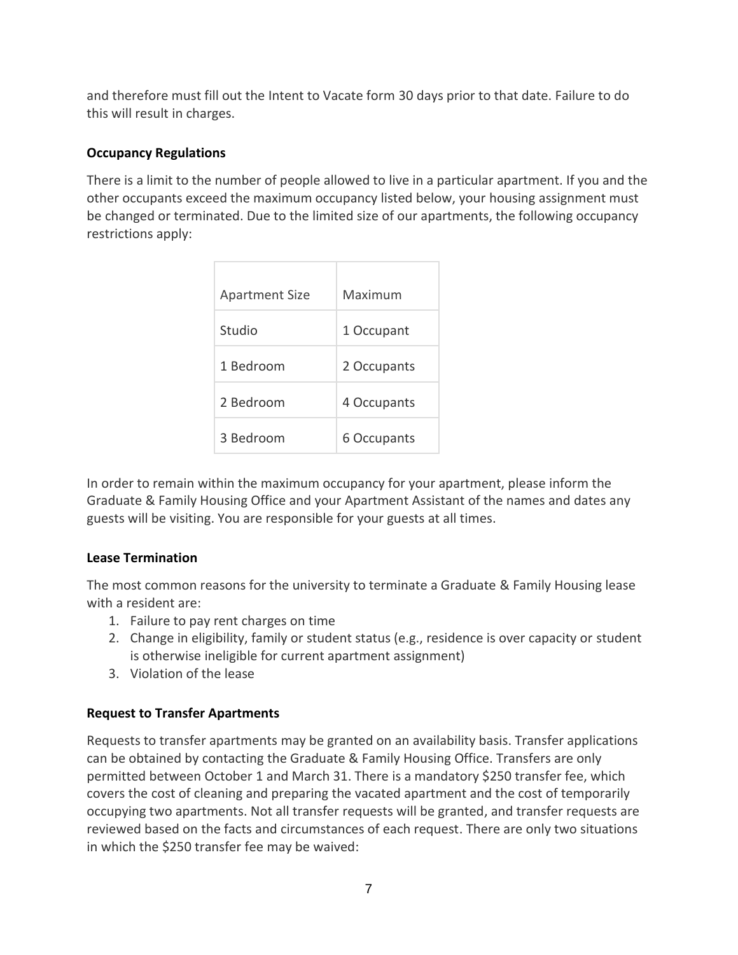and therefore must fill out the Intent to Vacate form 30 days prior to that date. Failure to do this will result in charges.

# <span id="page-6-0"></span>**Occupancy Regulations**

There is a limit to the number of people allowed to live in a particular apartment. If you and the other occupants exceed the maximum occupancy listed below, your housing assignment must be changed or terminated. Due to the limited size of our apartments, the following occupancy restrictions apply:

| <b>Apartment Size</b> | Maximum     |
|-----------------------|-------------|
| Studio                | 1 Occupant  |
| 1 Bedroom             | 2 Occupants |
| 2 Bedroom             | 4 Occupants |
| 3 Bedroom             | 6 Occupants |

In order to remain within the maximum occupancy for your apartment, please inform the Graduate & Family Housing Office and your Apartment Assistant of the names and dates any guests will be visiting. You are responsible for your guests at all times.

# <span id="page-6-1"></span>**Lease Termination**

The most common reasons for the university to terminate a Graduate & Family Housing lease with a resident are:

- 1. Failure to pay rent charges on time
- 2. Change in eligibility, family or student status (e.g., residence is over capacity or student is otherwise ineligible for current apartment assignment)
- 3. Violation of the lease

# <span id="page-6-2"></span>**Request to Transfer Apartments**

Requests to transfer apartments may be granted on an availability basis. Transfer applications can be obtained by contacting the Graduate & Family Housing Office. Transfers are only permitted between October 1 and March 31. There is a mandatory \$250 transfer fee, which covers the cost of cleaning and preparing the vacated apartment and the cost of temporarily occupying two apartments. Not all transfer requests will be granted, and transfer requests are reviewed based on the facts and circumstances of each request. There are only two situations in which the \$250 transfer fee may be waived: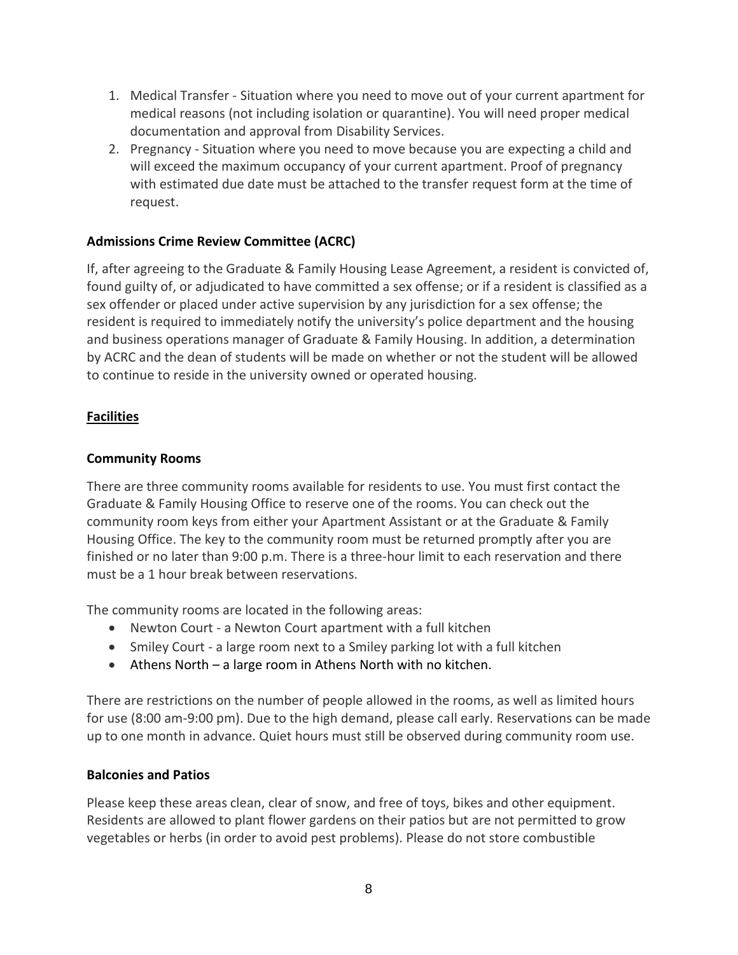- 1. Medical Transfer Situation where you need to move out of your current apartment for medical reasons (not including isolation or quarantine). You will need proper medical documentation and approval from Disability Services.
- 2. Pregnancy Situation where you need to move because you are expecting a child and will exceed the maximum occupancy of your current apartment. Proof of pregnancy with estimated due date must be attached to the transfer request form at the time of request.

# <span id="page-7-0"></span>**Admissions Crime Review Committee (ACRC)**

If, after agreeing to the Graduate & Family Housing Lease Agreement, a resident is convicted of, found guilty of, or adjudicated to have committed a sex offense; or if a resident is classified as a sex offender or placed under active supervision by any jurisdiction for a sex offense; the resident is required to immediately notify the university's police department and the housing and business operations manager of Graduate & Family Housing. In addition, a determination by ACRC and the dean of students will be made on whether or not the student will be allowed to continue to reside in the university owned or operated housing.

# <span id="page-7-1"></span>**Facilities**

#### <span id="page-7-2"></span>**Community Rooms**

There are three community rooms available for residents to use. You must first contact the Graduate & Family Housing Office to reserve one of the rooms. You can check out the community room keys from either your Apartment Assistant or at the Graduate & Family Housing Office. The key to the community room must be returned promptly after you are finished or no later than 9:00 p.m. There is a three-hour limit to each reservation and there must be a 1 hour break between reservations.

The community rooms are located in the following areas:

- Newton Court a Newton Court apartment with a full kitchen
- Smiley Court a large room next to a Smiley parking lot with a full kitchen
- Athens North a large room in Athens North with no kitchen.

There are restrictions on the number of people allowed in the rooms, as well as limited hours for use (8:00 am-9:00 pm). Due to the high demand, please call early. Reservations can be made up to one month in advance. Quiet hours must still be observed during community room use.

#### <span id="page-7-3"></span>**Balconies and Patios**

Please keep these areas clean, clear of snow, and free of toys, bikes and other equipment. Residents are allowed to plant flower gardens on their patios but are not permitted to grow vegetables or herbs (in order to avoid pest problems). Please do not store combustible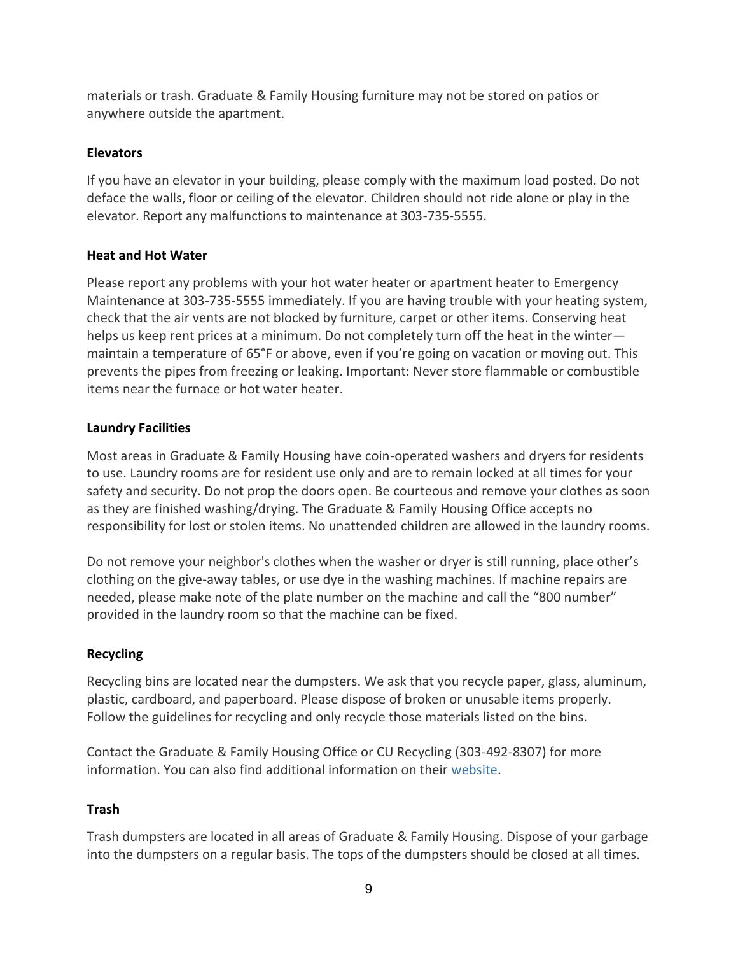materials or trash. Graduate & Family Housing furniture may not be stored on patios or anywhere outside the apartment.

# <span id="page-8-0"></span>**Elevators**

If you have an elevator in your building, please comply with the maximum load posted. Do not deface the walls, floor or ceiling of the elevator. Children should not ride alone or play in the elevator. Report any malfunctions to maintenance at 303-735-5555.

# <span id="page-8-1"></span>**Heat and Hot Water**

Please report any problems with your hot water heater or apartment heater to Emergency Maintenance at 303-735-5555 immediately. If you are having trouble with your heating system, check that the air vents are not blocked by furniture, carpet or other items. Conserving heat helps us keep rent prices at a minimum. Do not completely turn off the heat in the winter maintain a temperature of 65°F or above, even if you're going on vacation or moving out. This prevents the pipes from freezing or leaking. Important: Never store flammable or combustible items near the furnace or hot water heater.

# <span id="page-8-2"></span>**Laundry Facilities**

Most areas in Graduate & Family Housing have coin-operated washers and dryers for residents to use. Laundry rooms are for resident use only and are to remain locked at all times for your safety and security. Do not prop the doors open. Be courteous and remove your clothes as soon as they are finished washing/drying. The Graduate & Family Housing Office accepts no responsibility for lost or stolen items. No unattended children are allowed in the laundry rooms.

Do not remove your neighbor's clothes when the washer or dryer is still running, place other's clothing on the give-away tables, or use dye in the washing machines. If machine repairs are needed, please make note of the plate number on the machine and call the "800 number" provided in the laundry room so that the machine can be fixed.

# <span id="page-8-3"></span>**Recycling**

Recycling bins are located near the dumpsters. We ask that you recycle paper, glass, aluminum, plastic, cardboard, and paperboard. Please dispose of broken or unusable items properly. Follow the guidelines for recycling and only recycle those materials listed on the bins.

Contact the Graduate & Family Housing Office or CU Recycling (303-492-8307) for more information. You can also find additional information on thei[r](http://ecenter.colorado.edu/recycling) [website.](http://ecenter.colorado.edu/recycling)

# <span id="page-8-4"></span>**Trash**

Trash dumpsters are located in all areas of Graduate & Family Housing. Dispose of your garbage into the dumpsters on a regular basis. The tops of the dumpsters should be closed at all times.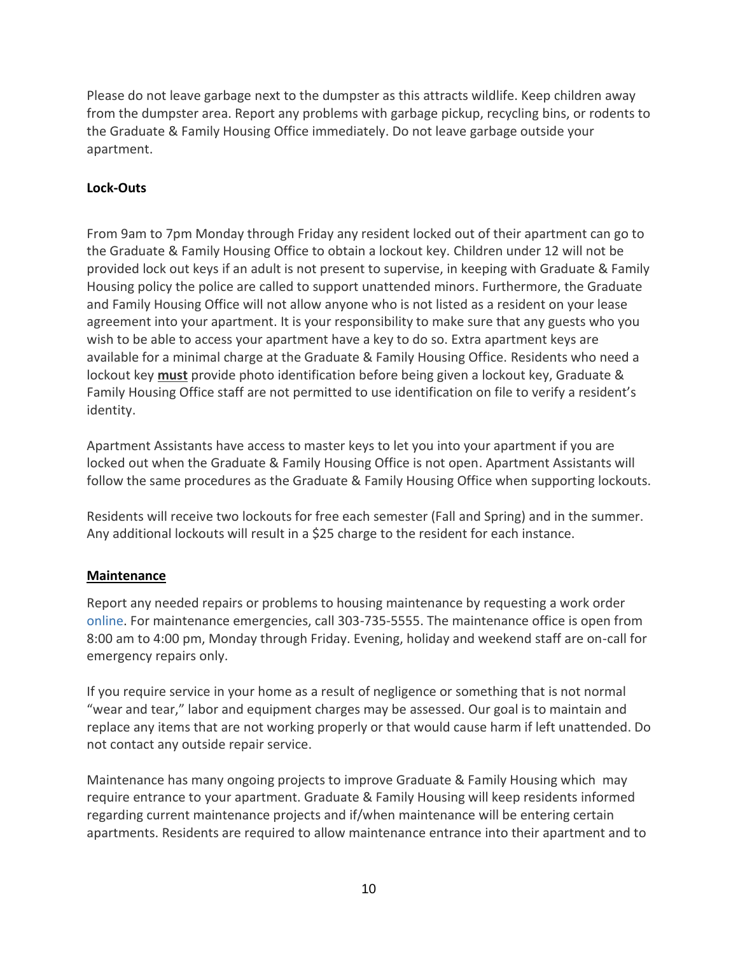Please do not leave garbage next to the dumpster as this attracts wildlife. Keep children away from the dumpster area. Report any problems with garbage pickup, recycling bins, or rodents to the Graduate & Family Housing Office immediately. Do not leave garbage outside your apartment.

# <span id="page-9-0"></span>**Lock-Outs**

From 9am to 7pm Monday through Friday any resident locked out of their apartment can go to the Graduate & Family Housing Office to obtain a lockout key. Children under 12 will not be provided lock out keys if an adult is not present to supervise, in keeping with Graduate & Family Housing policy the police are called to support unattended minors. Furthermore, the Graduate and Family Housing Office will not allow anyone who is not listed as a resident on your lease agreement into your apartment. It is your responsibility to make sure that any guests who you wish to be able to access your apartment have a key to do so. Extra apartment keys are available for a minimal charge at the Graduate & Family Housing Office. Residents who need a lockout key **must** provide photo identification before being given a lockout key, Graduate & Family Housing Office staff are not permitted to use identification on file to verify a resident's identity.

Apartment Assistants have access to master keys to let you into your apartment if you are locked out when the Graduate & Family Housing Office is not open. Apartment Assistants will follow the same procedures as the Graduate & Family Housing Office when supporting lockouts.

Residents will receive two lockouts for free each semester (Fall and Spring) and in the summer. Any additional lockouts will result in a \$25 charge to the resident for each instance.

# <span id="page-9-1"></span>**Maintenance**

Report any needed repairs or problems to housing maintenance by requesting a work orde[r](http://fixit.colorado.edu/) [online.](http://fixit.colorado.edu/) For maintenance emergencies, call 303-735-5555. The maintenance office is open from 8:00 am to 4:00 pm, Monday through Friday. Evening, holiday and weekend staff are on-call for emergency repairs only.

If you require service in your home as a result of negligence or something that is not normal "wear and tear," labor and equipment charges may be assessed. Our goal is to maintain and replace any items that are not working properly or that would cause harm if left unattended. Do not contact any outside repair service.

Maintenance has many ongoing projects to improve Graduate & Family Housing which may require entrance to your apartment. Graduate & Family Housing will keep residents informed regarding current maintenance projects and if/when maintenance will be entering certain apartments. Residents are required to allow maintenance entrance into their apartment and to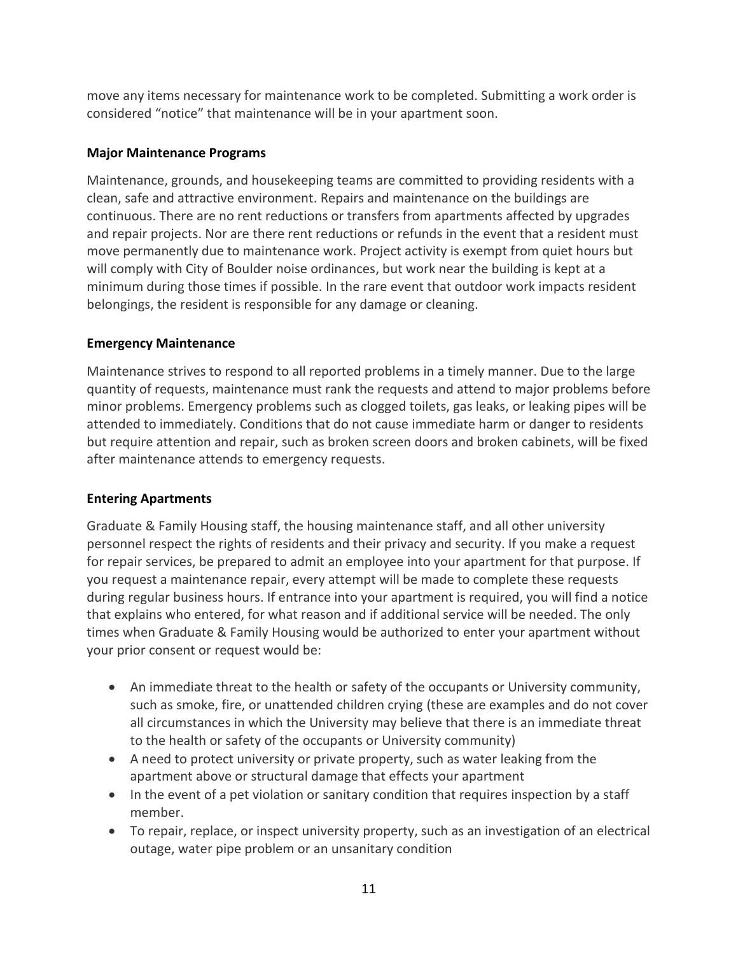move any items necessary for maintenance work to be completed. Submitting a work order is considered "notice" that maintenance will be in your apartment soon.

# <span id="page-10-0"></span>**Major Maintenance Programs**

Maintenance, grounds, and housekeeping teams are committed to providing residents with a clean, safe and attractive environment. Repairs and maintenance on the buildings are continuous. There are no rent reductions or transfers from apartments affected by upgrades and repair projects. Nor are there rent reductions or refunds in the event that a resident must move permanently due to maintenance work. Project activity is exempt from quiet hours but will comply with City of Boulder noise ordinances, but work near the building is kept at a minimum during those times if possible. In the rare event that outdoor work impacts resident belongings, the resident is responsible for any damage or cleaning.

# <span id="page-10-1"></span>**Emergency Maintenance**

Maintenance strives to respond to all reported problems in a timely manner. Due to the large quantity of requests, maintenance must rank the requests and attend to major problems before minor problems. Emergency problems such as clogged toilets, gas leaks, or leaking pipes will be attended to immediately. Conditions that do not cause immediate harm or danger to residents but require attention and repair, such as broken screen doors and broken cabinets, will be fixed after maintenance attends to emergency requests.

# <span id="page-10-2"></span>**Entering Apartments**

Graduate & Family Housing staff, the housing maintenance staff, and all other university personnel respect the rights of residents and their privacy and security. If you make a request for repair services, be prepared to admit an employee into your apartment for that purpose. If you request a maintenance repair, every attempt will be made to complete these requests during regular business hours. If entrance into your apartment is required, you will find a notice that explains who entered, for what reason and if additional service will be needed. The only times when Graduate & Family Housing would be authorized to enter your apartment without your prior consent or request would be:

- An immediate threat to the health or safety of the occupants or University community, such as smoke, fire, or unattended children crying (these are examples and do not cover all circumstances in which the University may believe that there is an immediate threat to the health or safety of the occupants or University community)
- A need to protect university or private property, such as water leaking from the apartment above or structural damage that effects your apartment
- In the event of a pet violation or sanitary condition that requires inspection by a staff member.
- To repair, replace, or inspect university property, such as an investigation of an electrical outage, water pipe problem or an unsanitary condition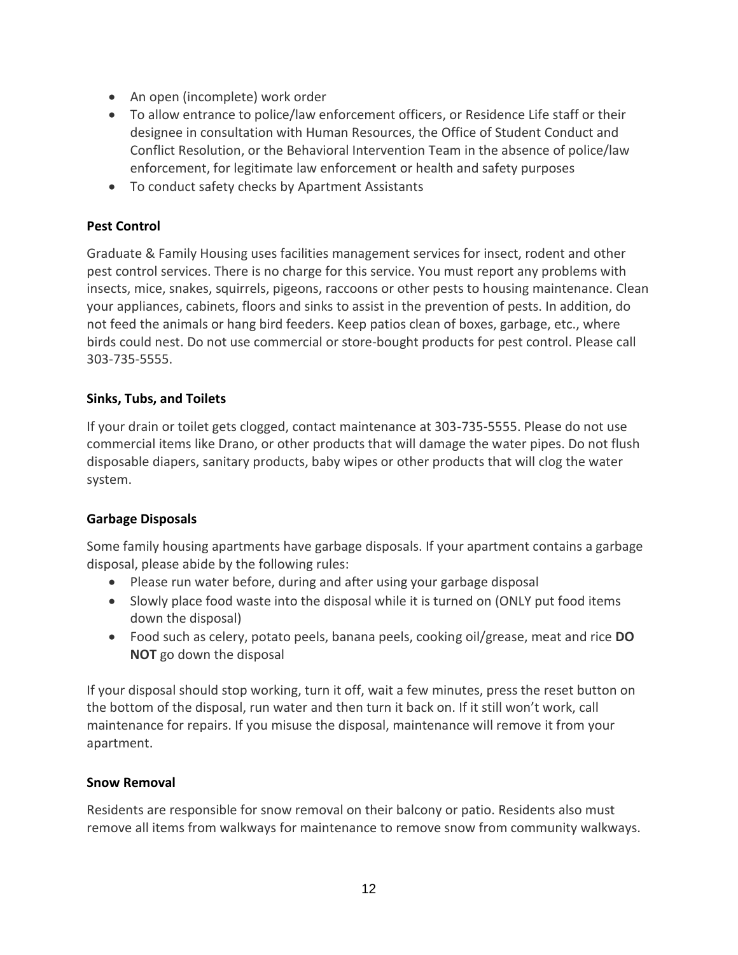- An open (incomplete) work order
- To allow entrance to police/law enforcement officers, or Residence Life staff or their designee in consultation with Human Resources, the Office of Student Conduct and Conflict Resolution, or the Behavioral Intervention Team in the absence of police/law enforcement, for legitimate law enforcement or health and safety purposes
- To conduct safety checks by Apartment Assistants

#### <span id="page-11-0"></span>**Pest Control**

Graduate & Family Housing uses facilities management services for insect, rodent and other pest control services. There is no charge for this service. You must report any problems with insects, mice, snakes, squirrels, pigeons, raccoons or other pests to housing maintenance. Clean your appliances, cabinets, floors and sinks to assist in the prevention of pests. In addition, do not feed the animals or hang bird feeders. Keep patios clean of boxes, garbage, etc., where birds could nest. Do not use commercial or store-bought products for pest control. Please call 303-735-5555.

#### <span id="page-11-1"></span>**Sinks, Tubs, and Toilets**

If your drain or toilet gets clogged, contact maintenance at 303-735-5555. Please do not use commercial items like Drano, or other products that will damage the water pipes. Do not flush disposable diapers, sanitary products, baby wipes or other products that will clog the water system.

#### <span id="page-11-2"></span>**Garbage Disposals**

Some family housing apartments have garbage disposals. If your apartment contains a garbage disposal, please abide by the following rules:

- Please run water before, during and after using your garbage disposal
- Slowly place food waste into the disposal while it is turned on (ONLY put food items down the disposal)
- Food such as celery, potato peels, banana peels, cooking oil/grease, meat and rice **DO NOT** go down the disposal

If your disposal should stop working, turn it off, wait a few minutes, press the reset button on the bottom of the disposal, run water and then turn it back on. If it still won't work, call maintenance for repairs. If you misuse the disposal, maintenance will remove it from your apartment.

#### <span id="page-11-3"></span>**Snow Removal**

Residents are responsible for snow removal on their balcony or patio. Residents also must remove all items from walkways for maintenance to remove snow from community walkways.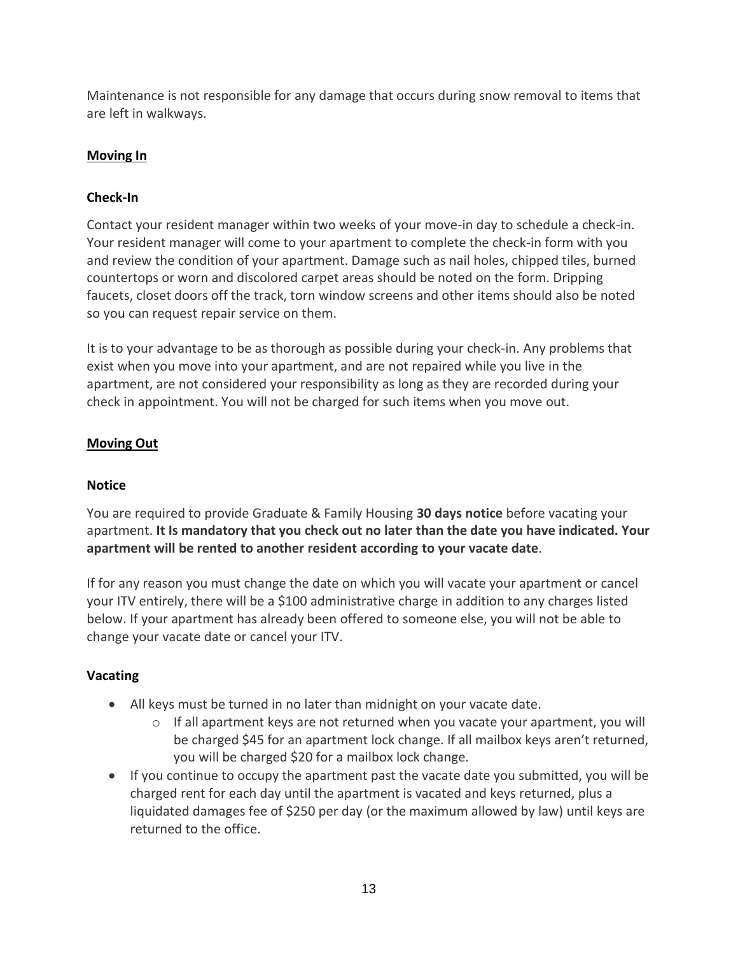Maintenance is not responsible for any damage that occurs during snow removal to items that are left in walkways.

# <span id="page-12-0"></span>**Moving In**

# <span id="page-12-1"></span>**Check-In**

Contact your resident manager within two weeks of your move-in day to schedule a check-in. Your resident manager will come to your apartment to complete the check-in form with you and review the condition of your apartment. Damage such as nail holes, chipped tiles, burned countertops or worn and discolored carpet areas should be noted on the form. Dripping faucets, closet doors off the track, torn window screens and other items should also be noted so you can request repair service on them.

It is to your advantage to be as thorough as possible during your check-in. Any problems that exist when you move into your apartment, and are not repaired while you live in the apartment, are not considered your responsibility as long as they are recorded during your check in appointment. You will not be charged for such items when you move out.

# <span id="page-12-2"></span>**Moving Out**

# <span id="page-12-3"></span>**Notice**

You are required to provide Graduate & Family Housing **30 days notice** before vacating your apartment. **It Is mandatory that you check out no later than the date you have indicated. Your apartment will be rented to another resident according to your vacate date**.

If for any reason you must change the date on which you will vacate your apartment or cancel your ITV entirely, there will be a \$100 administrative charge in addition to any charges listed below. If your apartment has already been offered to someone else, you will not be able to change your vacate date or cancel your ITV.

# <span id="page-12-4"></span>**Vacating**

- All keys must be turned in no later than midnight on your vacate date.
	- $\circ$  If all apartment keys are not returned when you vacate your apartment, you will be charged \$45 for an apartment lock change. If all mailbox keys aren't returned, you will be charged \$20 for a mailbox lock change.
- If you continue to occupy the apartment past the vacate date you submitted, you will be charged rent for each day until the apartment is vacated and keys returned, plus a liquidated damages fee of \$250 per day (or the maximum allowed by law) until keys are returned to the office.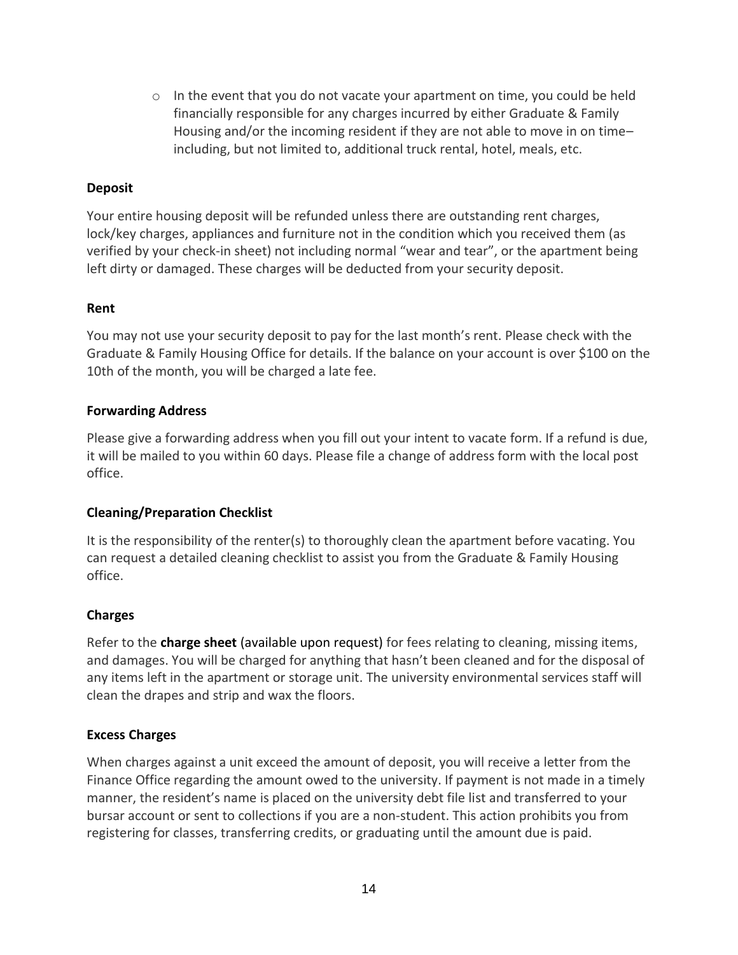$\circ$  In the event that you do not vacate your apartment on time, you could be held financially responsible for any charges incurred by either Graduate & Family Housing and/or the incoming resident if they are not able to move in on time– including, but not limited to, additional truck rental, hotel, meals, etc.

#### <span id="page-13-0"></span>**Deposit**

Your entire housing deposit will be refunded unless there are outstanding rent charges, lock/key charges, appliances and furniture not in the condition which you received them (as verified by your check-in sheet) not including normal "wear and tear", or the apartment being left dirty or damaged. These charges will be deducted from your security deposit.

#### <span id="page-13-1"></span>**Rent**

You may not use your security deposit to pay for the last month's rent. Please check with the Graduate & Family Housing Office for details. If the balance on your account is over \$100 on the 10th of the month, you will be charged a late fee.

#### <span id="page-13-2"></span>**Forwarding Address**

Please give a forwarding address when you fill out your intent to vacate form. If a refund is due, it will be mailed to you within 60 days. Please file a change of address form with the local post office.

# <span id="page-13-3"></span>**Cleaning/Preparation Checklist**

It is the responsibility of the renter(s) to thoroughly clean the apartment before vacating. You can request a detailed cleaning checklist to assist you from the Graduate & Family Housing office.

# <span id="page-13-4"></span>**Charges**

Refer to th[e](https://living.colorado.edu/node/688/attachment) **charge sheet** (available upon request) for fees relating to cleaning, missing items, and damages. You will be charged for anything that hasn't been cleaned and for the disposal of any items left in the apartment or storage unit. The university environmental services staff will clean the drapes and strip and wax the floors.

# <span id="page-13-5"></span>**Excess Charges**

When charges against a unit exceed the amount of deposit, you will receive a letter from the Finance Office regarding the amount owed to the university. If payment is not made in a timely manner, the resident's name is placed on the university debt file list and transferred to your bursar account or sent to collections if you are a non-student. This action prohibits you from registering for classes, transferring credits, or graduating until the amount due is paid.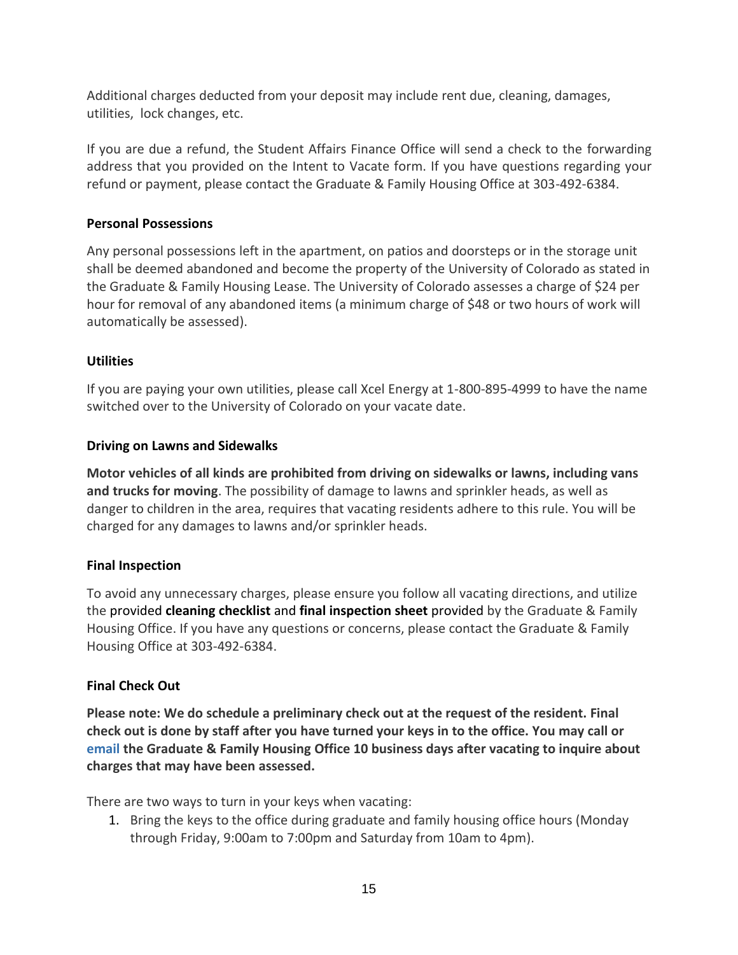Additional charges deducted from your deposit may include rent due, cleaning, damages, utilities, lock changes, etc.

If you are due a refund, the Student Affairs Finance Office will send a check to the forwarding address that you provided on the Intent to Vacate form. If you have questions regarding your refund or payment, please contact the Graduate & Family Housing Office at 303-492-6384.

# <span id="page-14-0"></span>**Personal Possessions**

Any personal possessions left in the apartment, on patios and doorsteps or in the storage unit shall be deemed abandoned and become the property of the University of Colorado as stated in the Graduate & Family Housing Lease. The University of Colorado assesses a charge of \$24 per hour for removal of any abandoned items (a minimum charge of \$48 or two hours of work will automatically be assessed).

# <span id="page-14-1"></span>**Utilities**

If you are paying your own utilities, please call Xcel Energy at 1-800-895-4999 to have the name switched over to the University of Colorado on your vacate date.

# <span id="page-14-2"></span>**Driving on Lawns and Sidewalks**

**Motor vehicles of all kinds are prohibited from driving on sidewalks or lawns, including vans and trucks for moving**. The possibility of damage to lawns and sprinkler heads, as well as danger to children in the area, requires that vacating residents adhere to this rule. You will be charged for any damages to lawns and/or sprinkler heads.

# <span id="page-14-3"></span>**Final Inspection**

To avoid any unnecessary charges, please ensure you follow all vacating directions, and utilize the provide[d](https://living.colorado.edu/node/691/attachment) **cleaning checklist** an[d](https://living.colorado.edu/node/694/attachment) **final inspection sheet** provided by the Graduate & Family Housing Office. If you have any questions or concerns, please contact the Graduate & Family Housing Office at 303-492-6384.

# <span id="page-14-4"></span>**Final Check Out**

**Please note: We do schedule a preliminary check out at the request of the resident. Final check out is done by staff after you have turned your keys in to the office. You may call or email the Graduate & Family Housing Office 10 business days after vacating to inquire about charges that may have been assessed.**

There are two ways to turn in your keys when vacating:

1. Bring the keys to the office during graduate and family housing office hours (Monday through Friday, 9:00am to 7:00pm and Saturday from 10am to 4pm).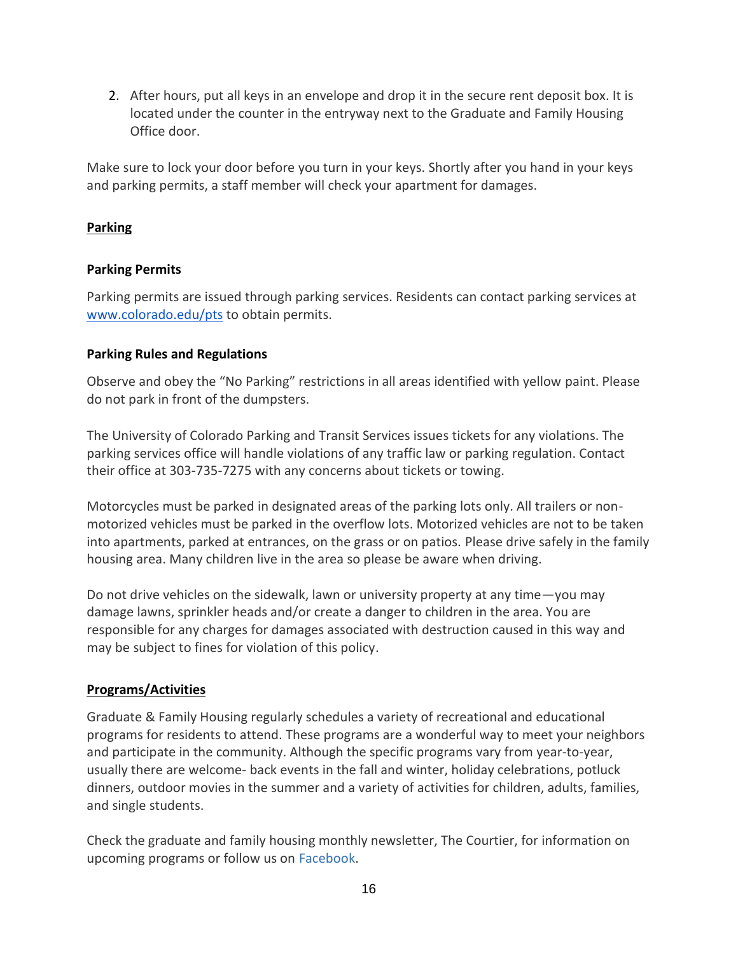2. After hours, put all keys in an envelope and drop it in the secure rent deposit box. It is located under the counter in the entryway next to the Graduate and Family Housing Office door.

Make sure to lock your door before you turn in your keys. Shortly after you hand in your keys and parking permits, a staff member will check your apartment for damages.

# <span id="page-15-0"></span>**Parking**

# <span id="page-15-1"></span>**Parking Permits**

Parking permits are issued through parking services. Residents can contact parking services a[t](http://www.colorado.edu/pts) [www.colorado.edu/pts](http://www.colorado.edu/pts) to obtain permits.

# <span id="page-15-2"></span>**Parking Rules and Regulations**

Observe and obey the "No Parking" restrictions in all areas identified with yellow paint. Please do not park in front of the dumpsters.

The University of Colorado Parking and Transit Services issues tickets for any violations. The parking services office will handle violations of any traffic law or parking regulation. Contact their office at 303-735-7275 with any concerns about tickets or towing.

Motorcycles must be parked in designated areas of the parking lots only. All trailers or nonmotorized vehicles must be parked in the overflow lots. Motorized vehicles are not to be taken into apartments, parked at entrances, on the grass or on patios. Please drive safely in the family housing area. Many children live in the area so please be aware when driving.

Do not drive vehicles on the sidewalk, lawn or university property at any time—you may damage lawns, sprinkler heads and/or create a danger to children in the area. You are responsible for any charges for damages associated with destruction caused in this way and may be subject to fines for violation of this policy.

# <span id="page-15-3"></span>**Programs/Activities**

Graduate & Family Housing regularly schedules a variety of recreational and educational programs for residents to attend. These programs are a wonderful way to meet your neighbors and participate in the community. Although the specific programs vary from year-to-year, usually there are welcome- back events in the fall and winter, holiday celebrations, potluck dinners, outdoor movies in the summer and a variety of activities for children, adults, families, and single students.

Check the graduate and family housing monthly newsletter, The Courtier, for information on upcoming programs or follow us o[n](https://www.facebook.com/CUGraduateAndFamilyHousing/) [Facebook.](https://www.facebook.com/CUGraduateAndFamilyHousing/)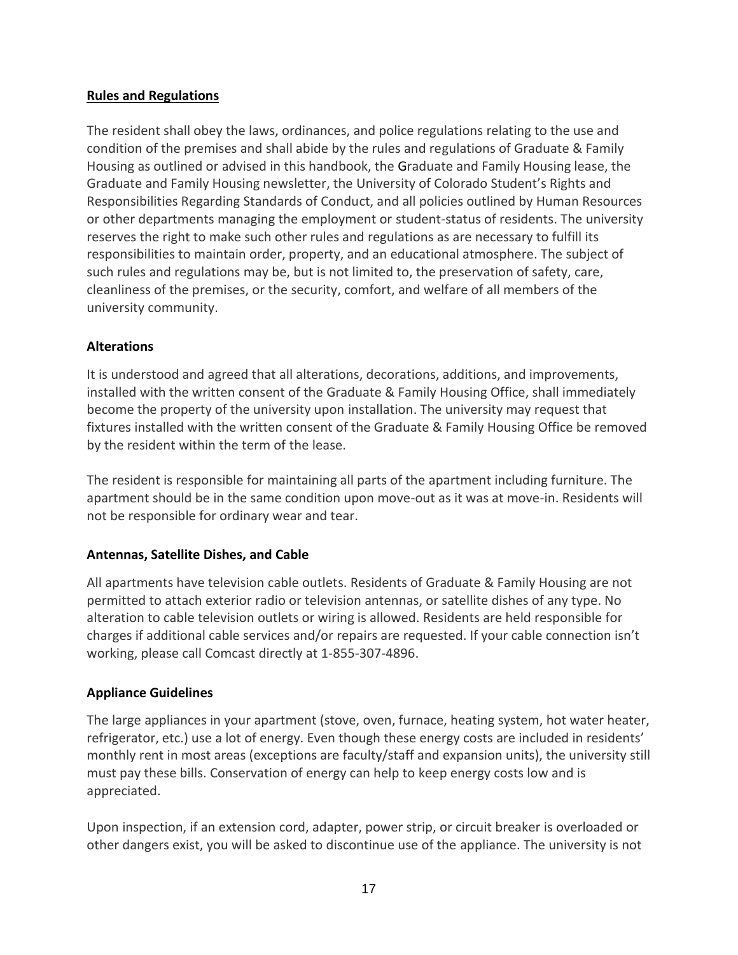#### <span id="page-16-0"></span>**Rules and Regulations**

The resident shall obey the laws, ordinances, and police regulations relating to the use and condition of the premises and shall abide by the rules and regulations of Graduate & Family Housing as outlined or advised in this handbook, the Graduate and Family Housing lease, the Graduate and Family Housing newsletter, the University of Colorado Student's Rights and Responsibilities Regarding Standards of Conduct, and all policies outlined by Human Resources or other departments managing the employment or student-status of residents. The university reserves the right to make such other rules and regulations as are necessary to fulfill its responsibilities to maintain order, property, and an educational atmosphere. The subject of such rules and regulations may be, but is not limited to, the preservation of safety, care, cleanliness of the premises, or the security, comfort, and welfare of all members of the university community.

#### <span id="page-16-1"></span>**Alterations**

It is understood and agreed that all alterations, decorations, additions, and improvements, installed with the written consent of the Graduate & Family Housing Office, shall immediately become the property of the university upon installation. The university may request that fixtures installed with the written consent of the Graduate & Family Housing Office be removed by the resident within the term of the lease.

The resident is responsible for maintaining all parts of the apartment including furniture. The apartment should be in the same condition upon move-out as it was at move-in. Residents will not be responsible for ordinary wear and tear.

# <span id="page-16-2"></span>**Antennas, Satellite Dishes, and Cable**

All apartments have television cable outlets. Residents of Graduate & Family Housing are not permitted to attach exterior radio or television antennas, or satellite dishes of any type. No alteration to cable television outlets or wiring is allowed. Residents are held responsible for charges if additional cable services and/or repairs are requested. If your cable connection isn't working, please call Comcast directly at 1-855-307-4896.

#### <span id="page-16-3"></span>**Appliance Guidelines**

The large appliances in your apartment (stove, oven, furnace, heating system, hot water heater, refrigerator, etc.) use a lot of energy. Even though these energy costs are included in residents' monthly rent in most areas (exceptions are faculty/staff and expansion units), the university still must pay these bills. Conservation of energy can help to keep energy costs low and is appreciated.

Upon inspection, if an extension cord, adapter, power strip, or circuit breaker is overloaded or other dangers exist, you will be asked to discontinue use of the appliance. The university is not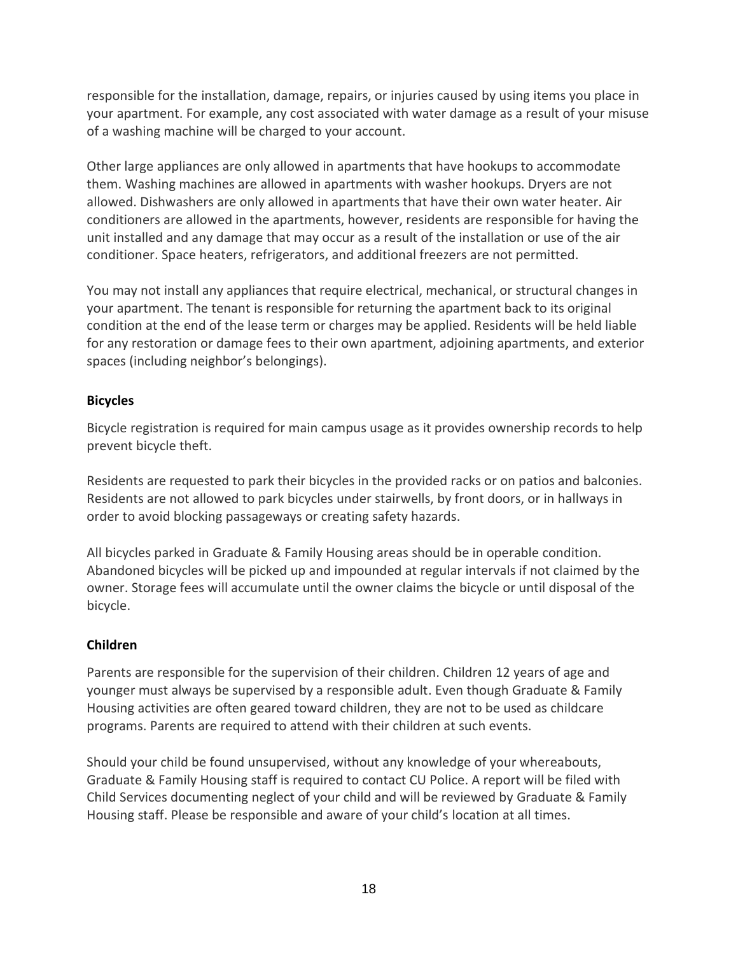responsible for the installation, damage, repairs, or injuries caused by using items you place in your apartment. For example, any cost associated with water damage as a result of your misuse of a washing machine will be charged to your account.

Other large appliances are only allowed in apartments that have hookups to accommodate them. Washing machines are allowed in apartments with washer hookups. Dryers are not allowed. Dishwashers are only allowed in apartments that have their own water heater. Air conditioners are allowed in the apartments, however, residents are responsible for having the unit installed and any damage that may occur as a result of the installation or use of the air conditioner. Space heaters, refrigerators, and additional freezers are not permitted.

You may not install any appliances that require electrical, mechanical, or structural changes in your apartment. The tenant is responsible for returning the apartment back to its original condition at the end of the lease term or charges may be applied. Residents will be held liable for any restoration or damage fees to their own apartment, adjoining apartments, and exterior spaces (including neighbor's belongings).

# <span id="page-17-0"></span>**Bicycles**

Bicycle registration is required for main campus usage as it provides ownership records to help prevent bicycle theft.

Residents are requested to park their bicycles in the provided racks or on patios and balconies. Residents are not allowed to park bicycles under stairwells, by front doors, or in hallways in order to avoid blocking passageways or creating safety hazards.

All bicycles parked in Graduate & Family Housing areas should be in operable condition. Abandoned bicycles will be picked up and impounded at regular intervals if not claimed by the owner. Storage fees will accumulate until the owner claims the bicycle or until disposal of the bicycle.

# <span id="page-17-1"></span>**Children**

Parents are responsible for the supervision of their children. Children 12 years of age and younger must always be supervised by a responsible adult. Even though Graduate & Family Housing activities are often geared toward children, they are not to be used as childcare programs. Parents are required to attend with their children at such events.

Should your child be found unsupervised, without any knowledge of your whereabouts, Graduate & Family Housing staff is required to contact CU Police. A report will be filed with Child Services documenting neglect of your child and will be reviewed by Graduate & Family Housing staff. Please be responsible and aware of your child's location at all times.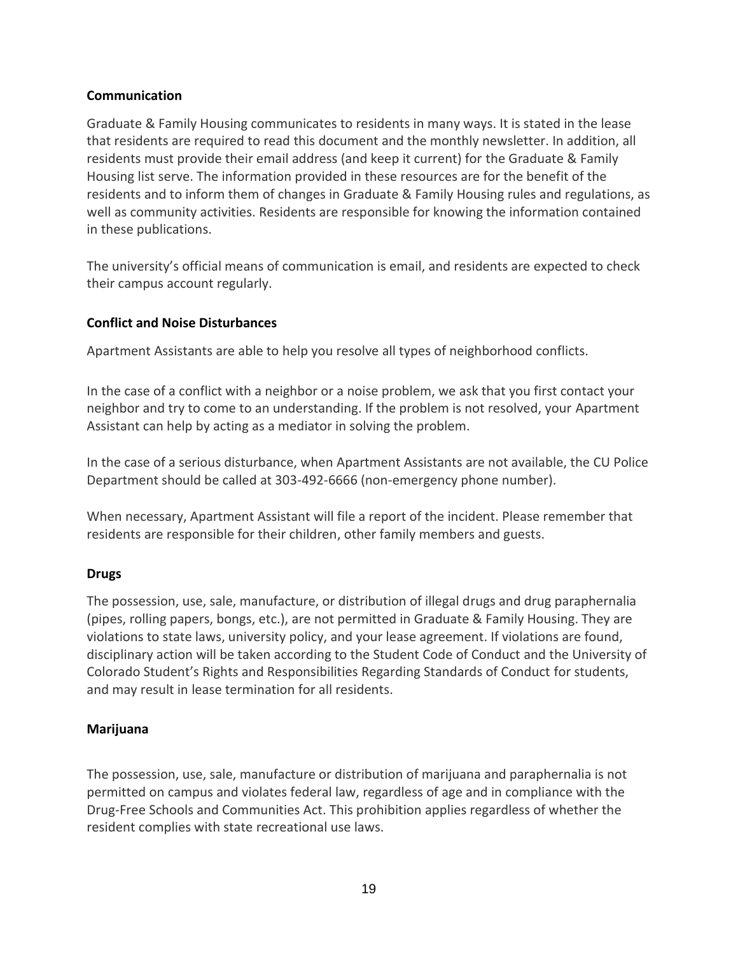#### <span id="page-18-0"></span>**Communication**

Graduate & Family Housing communicates to residents in many ways. It is stated in the lease that residents are required to read this document and the monthly newsletter. In addition, all residents must provide their email address (and keep it current) for the Graduate & Family Housing list serve. The information provided in these resources are for the benefit of the residents and to inform them of changes in Graduate & Family Housing rules and regulations, as well as community activities. Residents are responsible for knowing the information contained in these publications.

The university's official means of communication is email, and residents are expected to check their campus account regularly.

#### <span id="page-18-1"></span>**Conflict and Noise Disturbances**

Apartment Assistants are able to help you resolve all types of neighborhood conflicts.

In the case of a conflict with a neighbor or a noise problem, we ask that you first contact your neighbor and try to come to an understanding. If the problem is not resolved, your Apartment Assistant can help by acting as a mediator in solving the problem.

In the case of a serious disturbance, when Apartment Assistants are not available, the CU Police Department should be called at 303-492-6666 (non-emergency phone number).

When necessary, Apartment Assistant will file a report of the incident. Please remember that residents are responsible for their children, other family members and guests.

#### <span id="page-18-2"></span>**Drugs**

The possession, use, sale, manufacture, or distribution of illegal drugs and drug paraphernalia (pipes, rolling papers, bongs, etc.), are not permitted in Graduate & Family Housing. They are violations to state laws, university policy, and your lease agreement. If violations are found, disciplinary action will be taken according to the Student Code of Conduct and the University of Colorado Student's Rights and Responsibilities Regarding Standards of Conduct for students, and may result in lease termination for all residents.

# **Marijuana**

The possession, use, sale, manufacture or distribution of marijuana and paraphernalia is not permitted on campus and violates federal law, regardless of age and in compliance with the Drug-Free Schools and Communities Act. This prohibition applies regardless of whether the resident complies with state recreational use laws.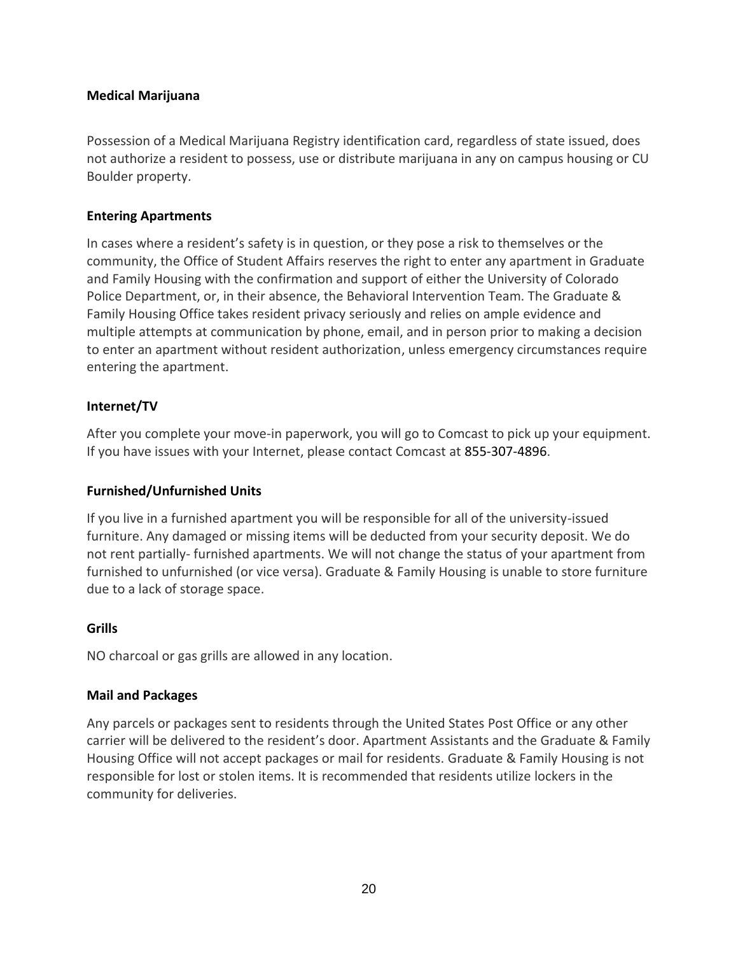#### **Medical Marijuana**

Possession of a Medical Marijuana Registry identification card, regardless of state issued, does not authorize a resident to possess, use or distribute marijuana in any on campus housing or CU Boulder property.

#### <span id="page-19-0"></span>**Entering Apartments**

In cases where a resident's safety is in question, or they pose a risk to themselves or the community, the Office of Student Affairs reserves the right to enter any apartment in Graduate and Family Housing with the confirmation and support of either the University of Colorado Police Department, or, in their absence, the Behavioral Intervention Team. The Graduate & Family Housing Office takes resident privacy seriously and relies on ample evidence and multiple attempts at communication by phone, email, and in person prior to making a decision to enter an apartment without resident authorization, unless emergency circumstances require entering the apartment.

# <span id="page-19-1"></span>**Internet/TV**

After you complete your move-in paperwork, you will go to Comcast to pick up your equipment. If you have issues with your Internet, please contact Comcast at 855-307-4896.

#### <span id="page-19-2"></span>**Furnished/Unfurnished Units**

If you live in a furnished apartment you will be responsible for all of the university-issued furniture. Any damaged or missing items will be deducted from your security deposit. We do not rent partially- furnished apartments. We will not change the status of your apartment from furnished to unfurnished (or vice versa). Graduate & Family Housing is unable to store furniture due to a lack of storage space.

#### <span id="page-19-3"></span>**Grills**

<span id="page-19-4"></span>NO charcoal or gas grills are allowed in any location.

#### **Mail and Packages**

Any parcels or packages sent to residents through the United States Post Office or any other carrier will be delivered to the resident's door. Apartment Assistants and the Graduate & Family Housing Office will not accept packages or mail for residents. Graduate & Family Housing is not responsible for lost or stolen items. It is recommended that residents utilize lockers in the community for deliveries.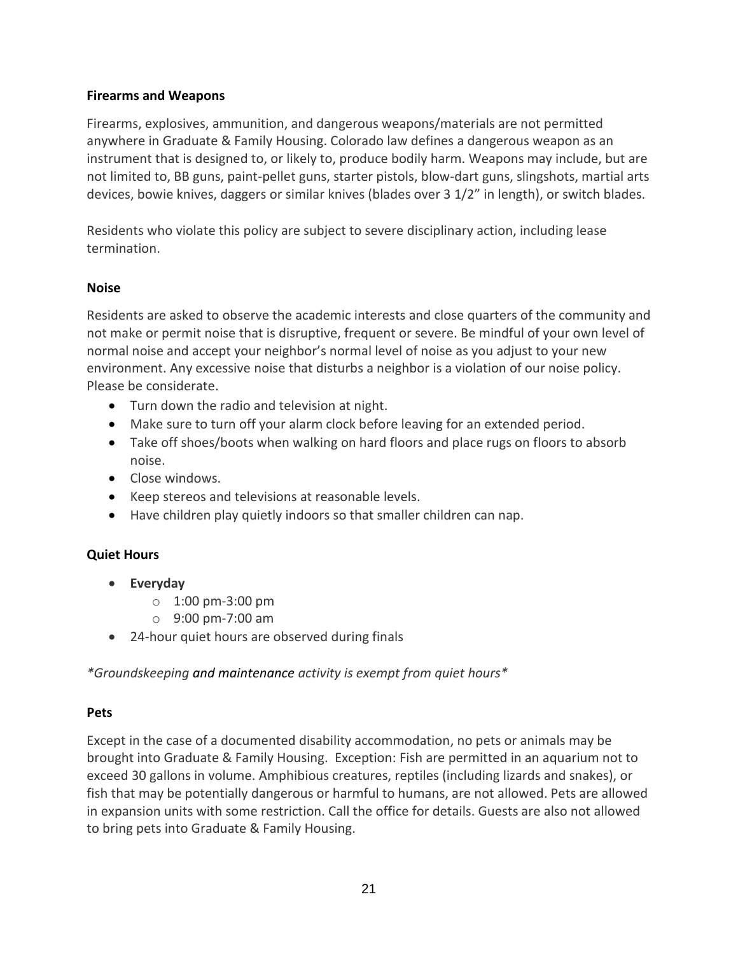#### <span id="page-20-0"></span>**Firearms and Weapons**

Firearms, explosives, ammunition, and dangerous weapons/materials are not permitted anywhere in Graduate & Family Housing. Colorado law defines a dangerous weapon as an instrument that is designed to, or likely to, produce bodily harm. Weapons may include, but are not limited to, BB guns, paint-pellet guns, starter pistols, blow-dart guns, slingshots, martial arts devices, bowie knives, daggers or similar knives (blades over 3 1/2" in length), or switch blades.

Residents who violate this policy are subject to severe disciplinary action, including lease termination.

#### <span id="page-20-1"></span>**Noise**

Residents are asked to observe the academic interests and close quarters of the community and not make or permit noise that is disruptive, frequent or severe. Be mindful of your own level of normal noise and accept your neighbor's normal level of noise as you adjust to your new environment. Any excessive noise that disturbs a neighbor is a violation of our noise policy. Please be considerate.

- Turn down the radio and television at night.
- Make sure to turn off your alarm clock before leaving for an extended period.
- Take off shoes/boots when walking on hard floors and place rugs on floors to absorb noise.
- Close windows.
- Keep stereos and televisions at reasonable levels.
- Have children play quietly indoors so that smaller children can nap.

# <span id="page-20-2"></span>**Quiet Hours**

- **Everyday**
	- $\circ$  1:00 pm-3:00 pm
	- o 9:00 pm-7:00 am
- 24-hour quiet hours are observed during finals

<span id="page-20-3"></span>*\*Groundskeeping and maintenance activity is exempt from quiet hours\**

# **Pets**

Except in the case of a documented disability accommodation, no pets or animals may be brought into Graduate & Family Housing. Exception: Fish are permitted in an aquarium not to exceed 30 gallons in volume. Amphibious creatures, reptiles (including lizards and snakes), or fish that may be potentially dangerous or harmful to humans, are not allowed. Pets are allowed in expansion units with some restriction. Call the office for details. Guests are also not allowed to bring pets into Graduate & Family Housing.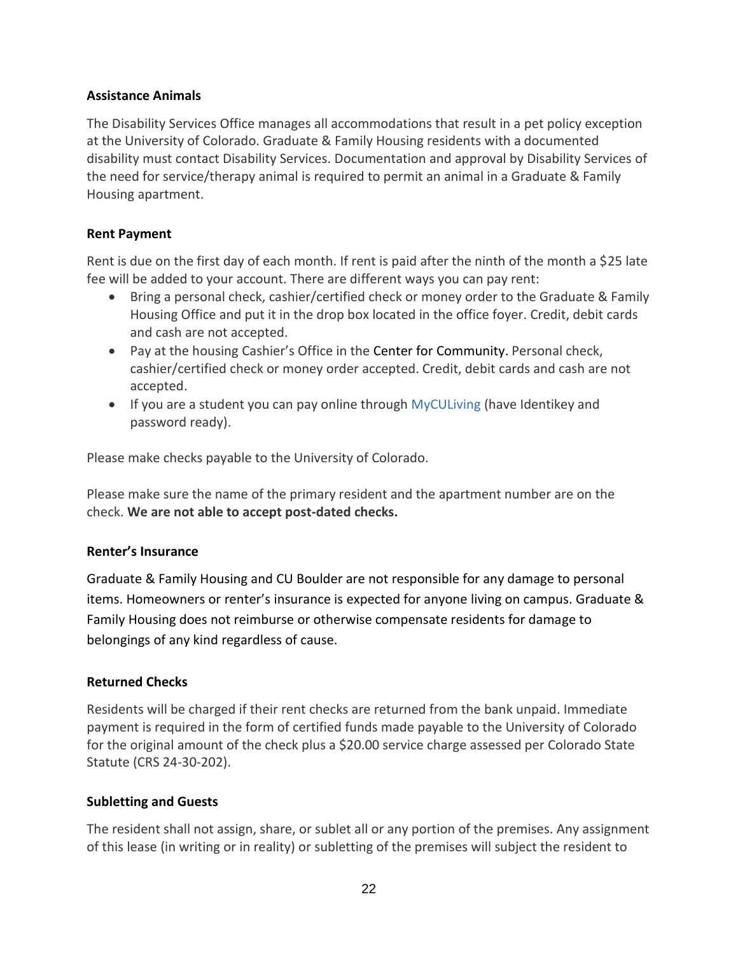#### <span id="page-21-0"></span>**Assistance Animals**

The Disability Services Office manages all accommodations that result in a pet policy exception at the University of Colorado. Graduate & Family Housing residents with a documented disability must contact Disability Services. Documentation and approval by Disability Services of the need for service/therapy animal is required to permit an animal in a Graduate & Family Housing apartment.

#### <span id="page-21-1"></span>**Rent Payment**

Rent is due on the first day of each month. If rent is paid after the ninth of the month a \$25 late fee will be added to your account. There are different ways you can pay rent:

- Bring a personal check, cashier/certified check or money order to the Graduate & Family Housing Office and put it in the drop box located in the office foyer. Credit, debit cards and cash are not accepted.
- Pay at the housing Cashier's Office in the Center for Community. Personal check, cashier/certified check or money order accepted. Credit, debit cards and cash are not accepted.
- If you are a student you can pay online through [MyCULiving](http://hdsapps.colorado.edu/) (have Identikey and password ready).

Please make checks payable to the University of Colorado.

Please make sure the name of the primary resident and the apartment number are on the check. **We are not able to accept post-dated checks.**

#### <span id="page-21-2"></span>**Renter's Insurance**

Graduate & Family Housing and CU Boulder are not responsible for any damage to personal items. Homeowners or renter's insurance is expected for anyone living on campus. Graduate & Family Housing does not reimburse or otherwise compensate residents for damage to belongings of any kind regardless of cause.

# <span id="page-21-3"></span>**Returned Checks**

Residents will be charged if their rent checks are returned from the bank unpaid. Immediate payment is required in the form of certified funds made payable to the University of Colorado for the original amount of the check plus a \$20.00 service charge assessed per Colorado State Statute (CRS 24-30-202).

# <span id="page-21-4"></span>**Subletting and Guests**

The resident shall not assign, share, or sublet all or any portion of the premises. Any assignment of this lease (in writing or in reality) or subletting of the premises will subject the resident to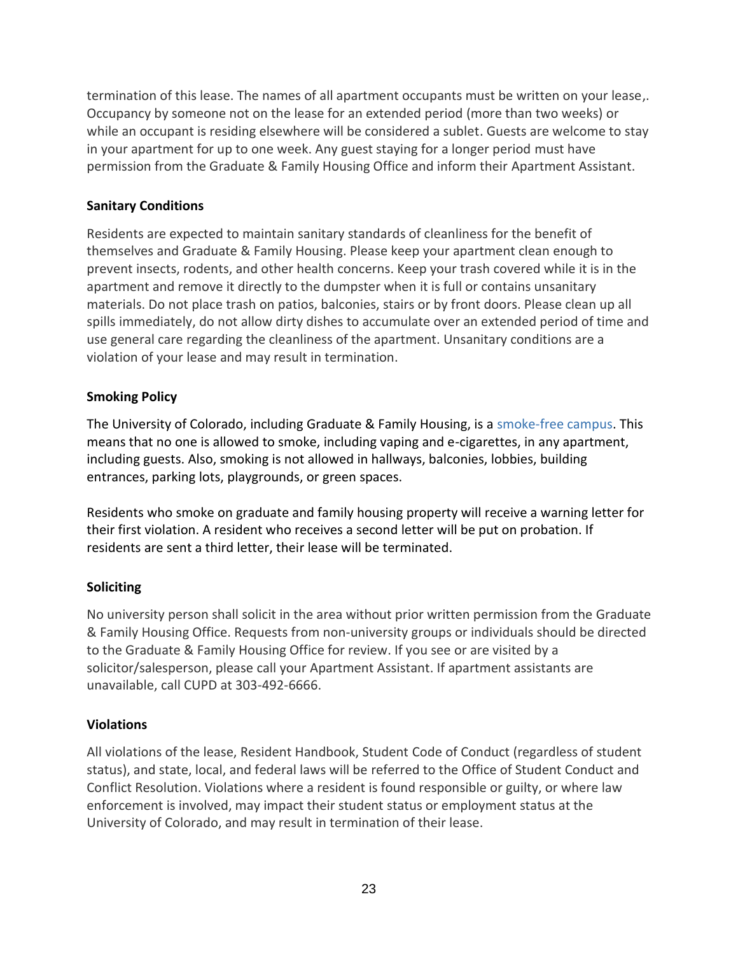termination of this lease. The names of all apartment occupants must be written on your lease,. Occupancy by someone not on the lease for an extended period (more than two weeks) or while an occupant is residing elsewhere will be considered a sublet. Guests are welcome to stay in your apartment for up to one week. Any guest staying for a longer period must have permission from the Graduate & Family Housing Office and inform their Apartment Assistant.

# <span id="page-22-0"></span>**Sanitary Conditions**

Residents are expected to maintain sanitary standards of cleanliness for the benefit of themselves and Graduate & Family Housing. Please keep your apartment clean enough to prevent insects, rodents, and other health concerns. Keep your trash covered while it is in the apartment and remove it directly to the dumpster when it is full or contains unsanitary materials. Do not place trash on patios, balconies, stairs or by front doors. Please clean up all spills immediately, do not allow dirty dishes to accumulate over an extended period of time and use general care regarding the cleanliness of the apartment. Unsanitary conditions are a violation of your lease and may result in termination.

# <span id="page-22-1"></span>**Smoking Policy**

The University of Colorado, including Graduate & Family Housing, is [a](http://www.colorado.edu/policies/smoking-policy) [smoke-free campus.](http://www.colorado.edu/policies/smoking-policy) This means that no one is allowed to smoke, including vaping and e-cigarettes, in any apartment, including guests. Also, smoking is not allowed in hallways, balconies, lobbies, building entrances, parking lots, playgrounds, or green spaces.

Residents who smoke on graduate and family housing property will receive a warning letter for their first violation. A resident who receives a second letter will be put on probation. If residents are sent a third letter, their lease will be terminated.

# <span id="page-22-2"></span>**Soliciting**

No university person shall solicit in the area without prior written permission from the Graduate & Family Housing Office. Requests from non-university groups or individuals should be directed to the Graduate & Family Housing Office for review. If you see or are visited by a solicitor/salesperson, please call your Apartment Assistant. If apartment assistants are unavailable, call CUPD at 303-492-6666.

# <span id="page-22-3"></span>**Violations**

All violations of the lease, Resident Handbook, Student Code of Conduct (regardless of student status), and state, local, and federal laws will be referred to the Office of Student Conduct and Conflict Resolution. Violations where a resident is found responsible or guilty, or where law enforcement is involved, may impact their student status or employment status at the University of Colorado, and may result in termination of their lease.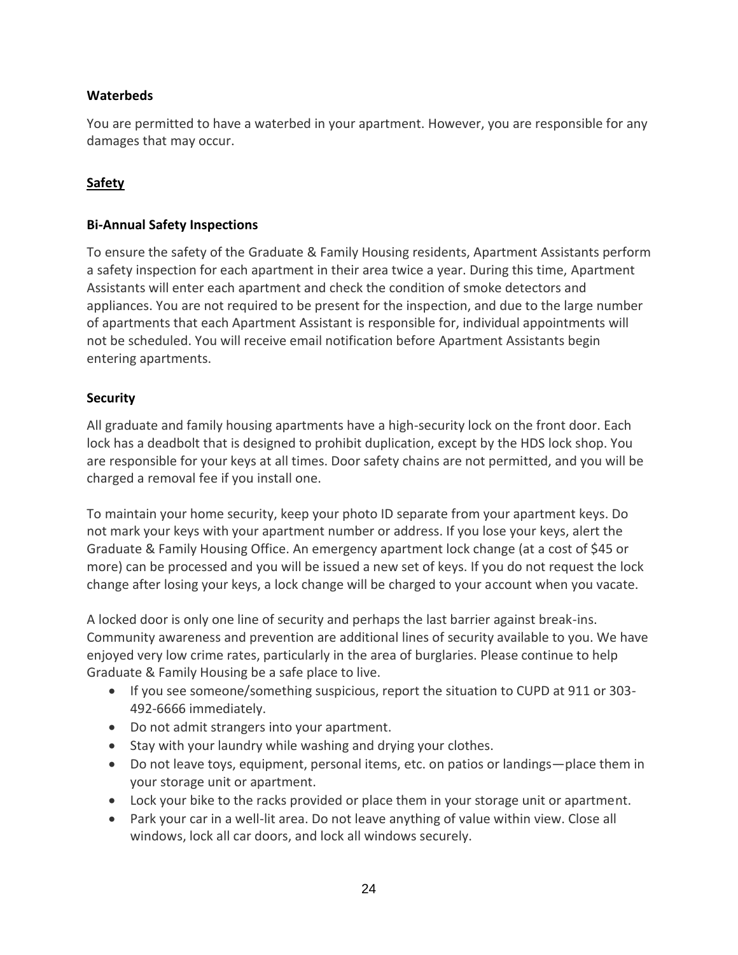# <span id="page-23-0"></span>**Waterbeds**

You are permitted to have a waterbed in your apartment. However, you are responsible for any damages that may occur.

# <span id="page-23-1"></span>**Safety**

#### <span id="page-23-2"></span>**Bi-Annual Safety Inspections**

To ensure the safety of the Graduate & Family Housing residents, Apartment Assistants perform a safety inspection for each apartment in their area twice a year. During this time, Apartment Assistants will enter each apartment and check the condition of smoke detectors and appliances. You are not required to be present for the inspection, and due to the large number of apartments that each Apartment Assistant is responsible for, individual appointments will not be scheduled. You will receive email notification before Apartment Assistants begin entering apartments.

# <span id="page-23-3"></span>**Security**

All graduate and family housing apartments have a high-security lock on the front door. Each lock has a deadbolt that is designed to prohibit duplication, except by the HDS lock shop. You are responsible for your keys at all times. Door safety chains are not permitted, and you will be charged a removal fee if you install one.

To maintain your home security, keep your photo ID separate from your apartment keys. Do not mark your keys with your apartment number or address. If you lose your keys, alert the Graduate & Family Housing Office. An emergency apartment lock change (at a cost of \$45 or more) can be processed and you will be issued a new set of keys. If you do not request the lock change after losing your keys, a lock change will be charged to your account when you vacate.

A locked door is only one line of security and perhaps the last barrier against break-ins. Community awareness and prevention are additional lines of security available to you. We have enjoyed very low crime rates, particularly in the area of burglaries. Please continue to help Graduate & Family Housing be a safe place to live.

- If you see someone/something suspicious, report the situation to CUPD at 911 or 303- 492-6666 immediately.
- Do not admit strangers into your apartment.
- Stay with your laundry while washing and drying your clothes.
- Do not leave toys, equipment, personal items, etc. on patios or landings—place them in your storage unit or apartment.
- Lock your bike to the racks provided or place them in your storage unit or apartment.
- Park your car in a well-lit area. Do not leave anything of value within view. Close all windows, lock all car doors, and lock all windows securely.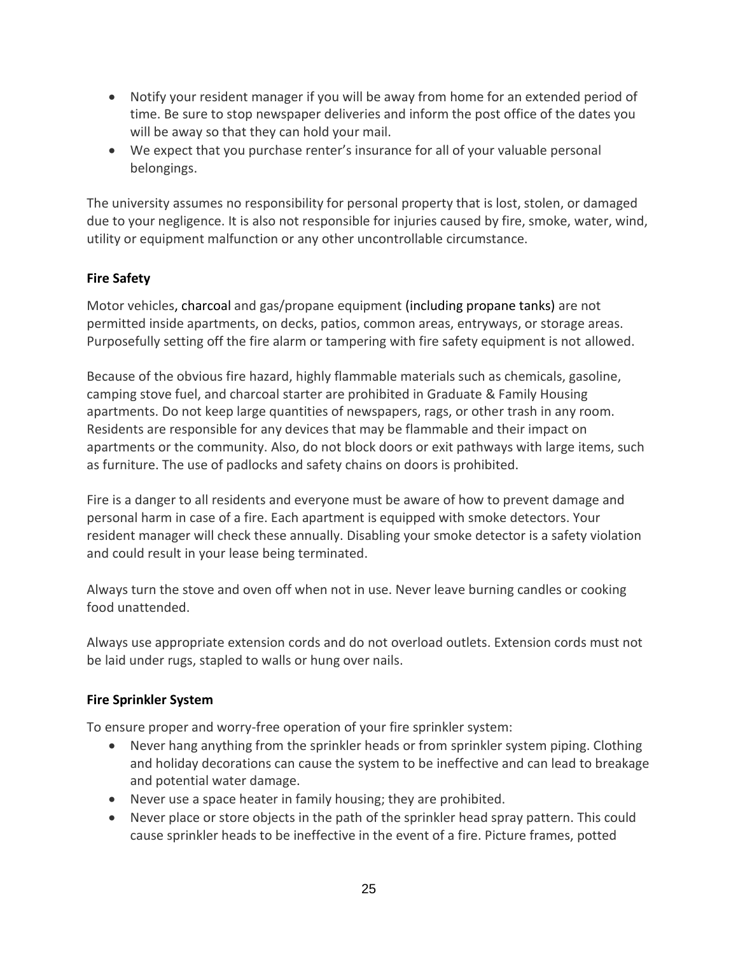- Notify your resident manager if you will be away from home for an extended period of time. Be sure to stop newspaper deliveries and inform the post office of the dates you will be away so that they can hold your mail.
- We expect that you purchase renter's insurance for all of your valuable personal belongings.

The university assumes no responsibility for personal property that is lost, stolen, or damaged due to your negligence. It is also not responsible for injuries caused by fire, smoke, water, wind, utility or equipment malfunction or any other uncontrollable circumstance.

# <span id="page-24-0"></span>**Fire Safety**

Motor vehicles, charcoal and gas/propane equipment (including propane tanks) are not permitted inside apartments, on decks, patios, common areas, entryways, or storage areas. Purposefully setting off the fire alarm or tampering with fire safety equipment is not allowed.

Because of the obvious fire hazard, highly flammable materials such as chemicals, gasoline, camping stove fuel, and charcoal starter are prohibited in Graduate & Family Housing apartments. Do not keep large quantities of newspapers, rags, or other trash in any room. Residents are responsible for any devices that may be flammable and their impact on apartments or the community. Also, do not block doors or exit pathways with large items, such as furniture. The use of padlocks and safety chains on doors is prohibited.

Fire is a danger to all residents and everyone must be aware of how to prevent damage and personal harm in case of a fire. Each apartment is equipped with smoke detectors. Your resident manager will check these annually. Disabling your smoke detector is a safety violation and could result in your lease being terminated.

Always turn the stove and oven off when not in use. Never leave burning candles or cooking food unattended.

Always use appropriate extension cords and do not overload outlets. Extension cords must not be laid under rugs, stapled to walls or hung over nails.

# <span id="page-24-1"></span>**Fire Sprinkler System**

To ensure proper and worry-free operation of your fire sprinkler system:

- Never hang anything from the sprinkler heads or from sprinkler system piping. Clothing and holiday decorations can cause the system to be ineffective and can lead to breakage and potential water damage.
- Never use a space heater in family housing; they are prohibited.
- Never place or store objects in the path of the sprinkler head spray pattern. This could cause sprinkler heads to be ineffective in the event of a fire. Picture frames, potted